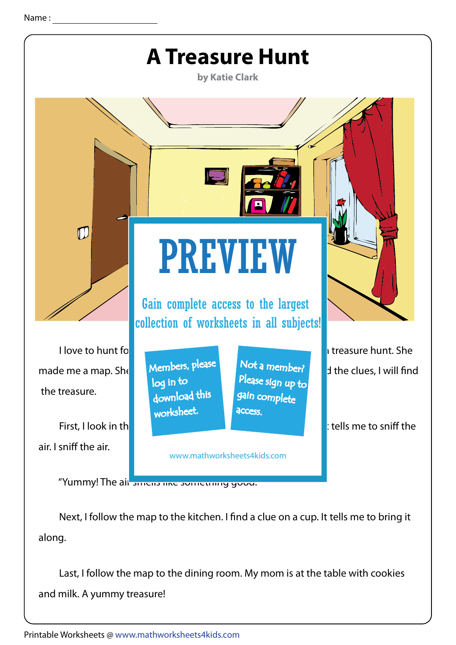

Next, I follow the map to the kitchen. I find a clue on a cup. It tells me to bring it along.

 Last, I follow the map to the dining room. My mom is at the table with cookies and milk. A yummy treasure!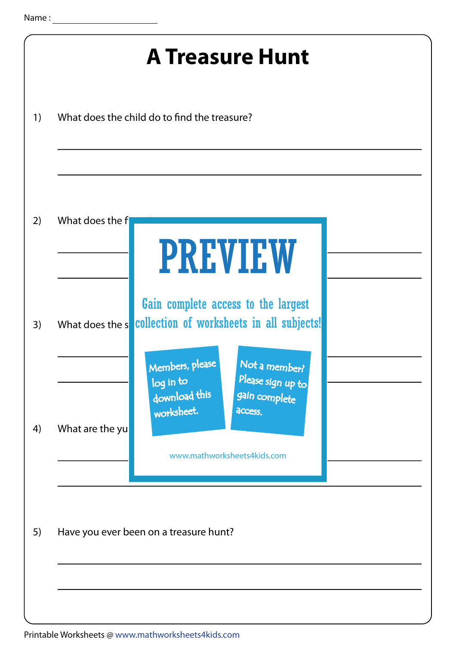| <b>A Treasure Hunt</b> |                 |                                                                                                                                                                                                                                                  |  |
|------------------------|-----------------|--------------------------------------------------------------------------------------------------------------------------------------------------------------------------------------------------------------------------------------------------|--|
| 1)                     |                 | What does the child do to find the treasure?                                                                                                                                                                                                     |  |
| 2)                     | What does the f | <b>PREVIEW</b>                                                                                                                                                                                                                                   |  |
| 3)                     | What does the s | Gain complete access to the largest<br>collection of worksheets in all subjects!<br>Not a member?<br>Members, please<br>Please sign up to<br>log in to<br>download this<br>gain complete<br>worksheet.<br>access.<br>www.mathworksheets4kids.com |  |
| 4)                     | What are the yu |                                                                                                                                                                                                                                                  |  |
| 5)                     |                 | Have you ever been on a treasure hunt?                                                                                                                                                                                                           |  |